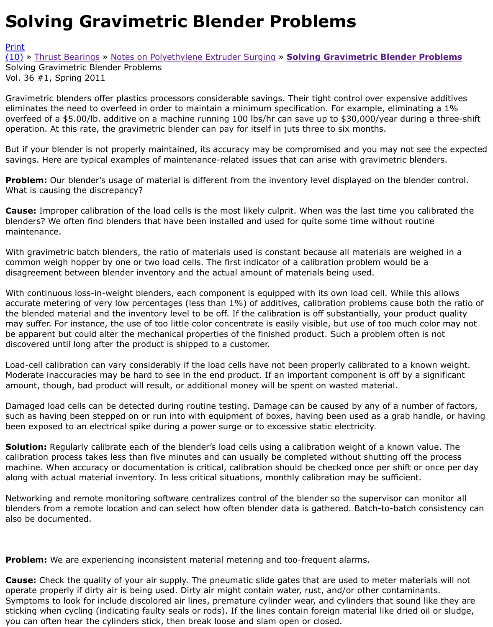Gravimetric blenders offer plastics processors considerable savings. Their tight control over expensitive and eliminates the need to overfeed in order to maintain a minimum specification. For example, eliminating overfeed of a \$5.00/lb. additive on a machine running 100 lbs/hr can save up to \$30,000/year durin [opera](http://extrusionwiki.com/wiki/Print.aspx?Page=CC-V36-1-A)tion. At this rate, the gravimetric blender can pay for itself in juts three to six months.

[But i](http://extrusionwiki.com/wiki/CC-V36-1-A.ashx#)f [your blender is n](http://extrusionwiki.com/wiki/CC-V19-3-H.ashx)ot [properly maintained, its accuracy may b](http://extrusionwiki.com/wiki/CC-V19-1-A.ashx)e compromised and you may not se savings. Here are typical examples of maintenance-related issues that can arise with gravimetric ble

**Problem:** Our blender's usage of material is different from the inventory level displayed on the bler What is causing the discrepancy?

**Cause:** Improper calibration of the load cells is the most likely culprit. When was the last time you of blenders? We often find blenders that have been installed and used for quite some time without rou maintenance.

With gravimetric batch blenders, the ratio of materials used is constant because all materials are we common weigh hopper by one or two load cells. The first indicator of a calibration problem would be disagreement between blender inventory and the actual amount of materials being used.

With continuous loss-in-weight blenders, each component is equipped with its own load cell. While t accurate metering of very low percentages (less than 1%) of additives, calibration problems cause b the blended material and the inventory level to be off. If the calibration is off substantially, your pro may suffer. For instance, the use of too little color concentrate is easily visible, but use of too much be apparent but could alter the mechanical properties of the finished product. Such a problem often discovered until long after the product is shipped to a customer.

Load-cell calibration can vary considerably if the load cells have not been properly calibrated to a kn Moderate inaccuracies may be hard to see in the end product. If an important component is off by a amount, though, bad product will result, or additional money will be spent on wasted material.

Damaged load cells can be detected during routine testing. Damage can be caused by any of a num such as having been stepped on or run into with equipment of boxes, having been used as a grab h been exposed to an electrical spike during a power surge or to excessive static electricity.

**Solution:** Regularly calibrate each of the blender's load cells using a calibration weight of a known v calibration process takes less than five minutes and can usually be completed without shutting off tl machine. When accuracy or documentation is critical, calibration should be checked once per shift o along with actual material inventory. In less critical situations, monthly calibration may be sufficient.

Networking and remote monitoring software centralizes control of the blender so the supervisor can blenders from a remote location and can select how often blender data is gathered. Batch-to-batch also be documented.

**Problem:** We are experiencing inconsistent material metering and too-frequent alarms.

**Cause:** Check the quality of your air supply. The pneumatic slide gates that are used to meter mate operate properly if dirty air is being used. Dirty air might contain water, rust, and/or other contamir Symptoms to look for include discolored air lines, premature cylinder wear, and cylinders that sound sticking when cycling (indicating faulty seals or rods). If the lines contain foreign material like dried you can often hear the cylinders stick, then break loose and slam open or closed.